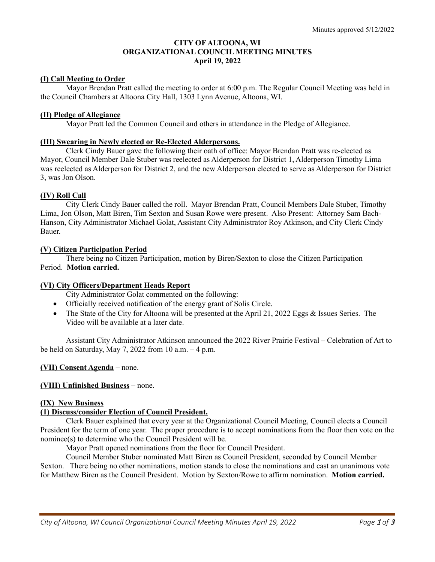# **CITY OF ALTOONA, WI ORGANIZATIONAL COUNCIL MEETING MINUTES April 19, 2022**

### **(I) Call Meeting to Order**

 Mayor Brendan Pratt called the meeting to order at 6:00 p.m. The Regular Council Meeting was held in the Council Chambers at Altoona City Hall, 1303 Lynn Avenue, Altoona, WI.

### **(II) Pledge of Allegiance**

Mayor Pratt led the Common Council and others in attendance in the Pledge of Allegiance.

### **(III) Swearing in Newly elected or Re-Elected Alderpersons.**

 Clerk Cindy Bauer gave the following their oath of office: Mayor Brendan Pratt was re-elected as Mayor, Council Member Dale Stuber was reelected as Alderperson for District 1, Alderperson Timothy Lima was reelected as Alderperson for District 2, and the new Alderperson elected to serve as Alderperson for District 3, was Jon Olson.

# **(IV) Roll Call**

 City Clerk Cindy Bauer called the roll. Mayor Brendan Pratt, Council Members Dale Stuber, Timothy Lima, Jon Olson, Matt Biren, Tim Sexton and Susan Rowe were present. Also Present: Attorney Sam Bach-Hanson, City Administrator Michael Golat, Assistant City Administrator Roy Atkinson, and City Clerk Cindy Bauer.

### **(V) Citizen Participation Period**

 There being no Citizen Participation, motion by Biren/Sexton to close the Citizen Participation Period. **Motion carried.** 

### **(VI) City Officers/Department Heads Report**

City Administrator Golat commented on the following:

- Officially received notification of the energy grant of Solis Circle.
- The State of the City for Altoona will be presented at the April 21, 2022 Eggs & Issues Series. The Video will be available at a later date.

Assistant City Administrator Atkinson announced the 2022 River Prairie Festival – Celebration of Art to be held on Saturday, May 7, 2022 from 10 a.m.  $-4$  p.m.

#### **(VII) Consent Agenda** – none.

#### **(VIII) Unfinished Business** – none.

### **(IX) New Business**

#### **(1) Discuss/consider Election of Council President.**

Clerk Bauer explained that every year at the Organizational Council Meeting, Council elects a Council President for the term of one year. The proper procedure is to accept nominations from the floor then vote on the nominee(s) to determine who the Council President will be.

Mayor Pratt opened nominations from the floor for Council President.

 Council Member Stuber nominated Matt Biren as Council President, seconded by Council Member Sexton. There being no other nominations, motion stands to close the nominations and cast an unanimous vote for Matthew Biren as the Council President. Motion by Sexton/Rowe to affirm nomination. **Motion carried.**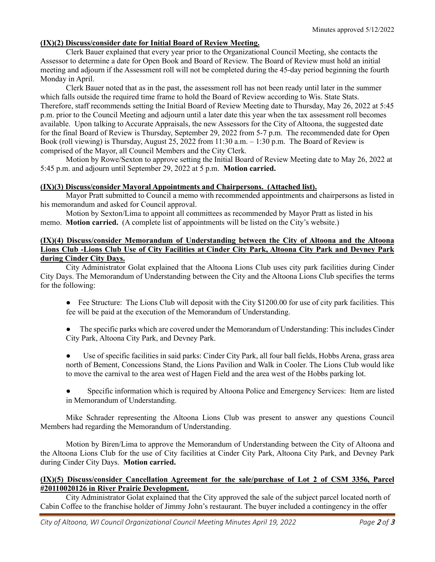# **(IX)(2) Discuss/consider date for Initial Board of Review Meeting.**

Clerk Bauer explained that every year prior to the Organizational Council Meeting, she contacts the Assessor to determine a date for Open Book and Board of Review. The Board of Review must hold an initial meeting and adjourn if the Assessment roll will not be completed during the 45-day period beginning the fourth Monday in April.

Clerk Bauer noted that as in the past, the assessment roll has not been ready until later in the summer which falls outside the required time frame to hold the Board of Review according to Wis. State Stats. Therefore, staff recommends setting the Initial Board of Review Meeting date to Thursday, May 26, 2022 at 5:45 p.m. prior to the Council Meeting and adjourn until a later date this year when the tax assessment roll becomes available. Upon talking to Accurate Appraisals, the new Assessors for the City of Altoona, the suggested date for the final Board of Review is Thursday, September 29, 2022 from 5-7 p.m. The recommended date for Open Book (roll viewing) is Thursday, August 25, 2022 from 11:30 a.m. – 1:30 p.m. The Board of Review is comprised of the Mayor, all Council Members and the City Clerk.

Motion by Rowe/Sexton to approve setting the Initial Board of Review Meeting date to May 26, 2022 at 5:45 p.m. and adjourn until September 29, 2022 at 5 p.m. **Motion carried.**

# **(IX)(3) Discuss/consider Mayoral Appointments and Chairpersons. (Attached list).**

Mayor Pratt submitted to Council a memo with recommended appointments and chairpersons as listed in his memorandum and asked for Council approval.

 Motion by Sexton/Lima to appoint all committees as recommended by Mayor Pratt as listed in his memo. **Motion carried.** (A complete list of appointments will be listed on the City's website.)

# **(IX)(4) Discuss/consider Memorandum of Understanding between the City of Altoona and the Altoona Lions Club -Lions Club Use of City Facilities at Cinder City Park, Altoona City Park and Devney Park during Cinder City Days.**

City Administrator Golat explained that the Altoona Lions Club uses city park facilities during Cinder City Days. The Memorandum of Understanding between the City and the Altoona Lions Club specifies the terms for the following:

- Fee Structure: The Lions Club will deposit with the City \$1200.00 for use of city park facilities. This fee will be paid at the execution of the Memorandum of Understanding.
- The specific parks which are covered under the Memorandum of Understanding: This includes Cinder City Park, Altoona City Park, and Devney Park.
- Use of specific facilities in said parks: Cinder City Park, all four ball fields, Hobbs Arena, grass area north of Bement, Concessions Stand, the Lions Pavilion and Walk in Cooler. The Lions Club would like to move the carnival to the area west of Hagen Field and the area west of the Hobbs parking lot.
- Specific information which is required by Altoona Police and Emergency Services: Item are listed in Memorandum of Understanding.

Mike Schrader representing the Altoona Lions Club was present to answer any questions Council Members had regarding the Memorandum of Understanding.

Motion by Biren/Lima to approve the Memorandum of Understanding between the City of Altoona and the Altoona Lions Club for the use of City facilities at Cinder City Park, Altoona City Park, and Devney Park during Cinder City Days. **Motion carried.**

### **(IX)(5) Discuss/consider Cancellation Agreement for the sale/purchase of Lot 2 of CSM 3356, Parcel #20110020126 in River Prairie Development.**

City Administrator Golat explained that the City approved the sale of the subject parcel located north of Cabin Coffee to the franchise holder of Jimmy John's restaurant. The buyer included a contingency in the offer